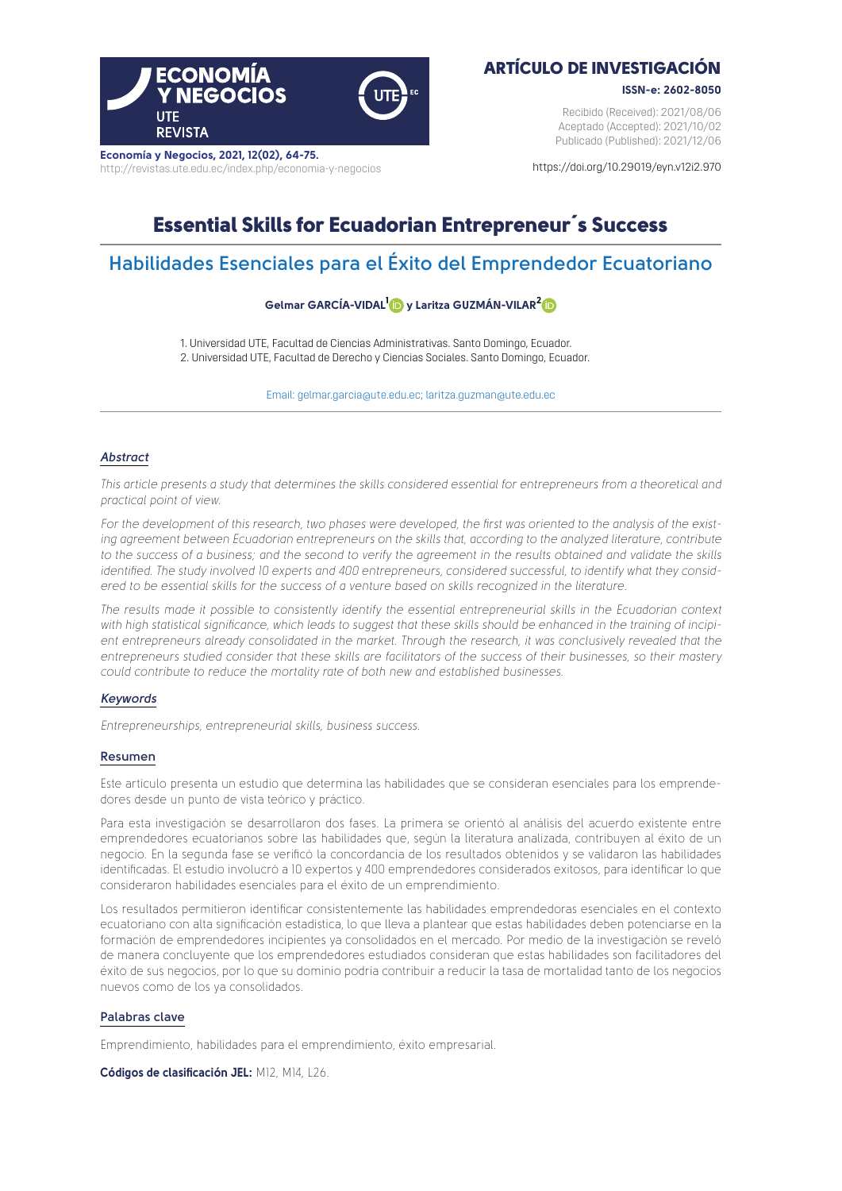

**Economía y Negocios, 2021, 12(02), 64-75.** <http://revistas.ute.edu.ec/index.php/economia-y-negocios>

## ARTÍCULO DE INVESTIGACIÓN

**ISSN-e: 2602-8050**

Recibido (Received): 2021/08/06 Aceptado (Accepted): 2021/10/02 Publicado (Published): 2021/12/06

[https://doi.org/10.29019/eyn.v12i2.970](https://doi.org/10.29019/eyn.v12i2.970 )

# Essential Skills for Ecuadorian Entrepreneur´s Success

# **Habilidades Esenciales para el Éxito del Emprendedor Ecuatoriano**

### **Gelmar GARCÍA-VIDA[L1 y](https://orcid.org/0000-0001-7159-3163) Laritza GUZMÁN-VILAR[2](https://orcid.org/0000-0001-9632-6328)**

1. Universidad UTE, Facultad de Ciencias Administrativas. Santo Domingo, Ecuador. 2. Universidad UTE, Facultad de Derecho y Ciencias Sociales. Santo Domingo, Ecuador.

Email: [gelmar.garcia@ute.edu.ec;](mailto:gelmar.garcia@ute.edu.ec) [laritza.guzman@ute.edu.ec](mailto:laritza.guzman@ute.edu.ec)

### *Abstract*

*This article presents a study that determines the skills considered essential for entrepreneurs from a theoretical and practical point of view.* 

*For the development of this research, two phases were developed, the first was oriented to the analysis of the existing agreement between Ecuadorian entrepreneurs on the skills that, according to the analyzed literature, contribute* to the success of a business; and the second to verify the agreement in the results obtained and validate the skills *identified. The study involved 10 experts and 400 entrepreneurs, considered successful, to identify what they considered to be essential skills for the success of a venture based on skills recognized in the literature.* 

*The results made it possible to consistently identify the essential entrepreneurial skills in the Ecuadorian context with high statistical significance, which leads to suggest that these skills should be enhanced in the training of incipient entrepreneurs already consolidated in the market. Through the research, it was conclusively revealed that the entrepreneurs studied consider that these skills are facilitators of the success of their businesses, so their mastery could contribute to reduce the mortality rate of both new and established businesses.*

#### *Keywords*

*Entrepreneurships, entrepreneurial skills, business success.*

#### **Resumen**

Este artículo presenta un estudio que determina las habilidades que se consideran esenciales para los emprendedores desde un punto de vista teórico y práctico.

Para esta investigación se desarrollaron dos fases. La primera se orientó al análisis del acuerdo existente entre emprendedores ecuatorianos sobre las habilidades que, según la literatura analizada, contribuyen al éxito de un negocio. En la segunda fase se verificó la concordancia de los resultados obtenidos y se validaron las habilidades identificadas. El estudio involucró a 10 expertos y 400 emprendedores considerados exitosos, para identificar lo que consideraron habilidades esenciales para el éxito de un emprendimiento.

Los resultados permitieron identificar consistentemente las habilidades emprendedoras esenciales en el contexto ecuatoriano con alta significación estadística, lo que lleva a plantear que estas habilidades deben potenciarse en la formación de emprendedores incipientes ya consolidados en el mercado. Por medio de la investigación se reveló de manera concluyente que los emprendedores estudiados consideran que estas habilidades son facilitadores del éxito de sus negocios, por lo que su dominio podría contribuir a reducir la tasa de mortalidad tanto de los negocios nuevos como de los ya consolidados.

#### **Palabras clave**

Emprendimiento, habilidades para el emprendimiento, éxito empresarial.

**Códigos de clasificación JEL:** M12, M14, L26.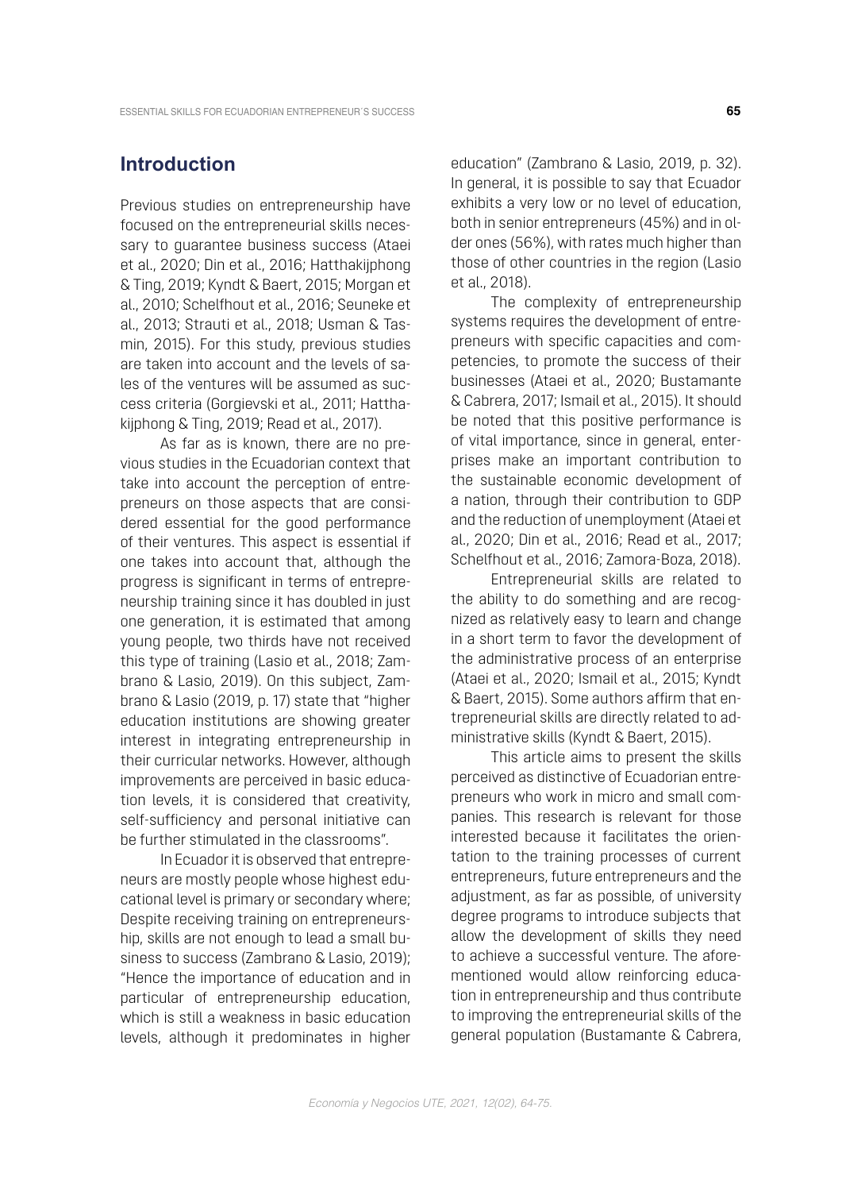### **Introduction**

Previous studies on entrepreneurship have focused on the entrepreneurial skills necessary to guarantee business success (Ataei et al., 2020; Din et al., 2016; Hatthakijphong & Ting, 2019; Kyndt & Baert, 2015; Morgan et al., 2010; Schelfhout et al., 2016; Seuneke et al., 2013; Strauti et al., 2018; Usman & Tasmin, 2015). For this study, previous studies are taken into account and the levels of sales of the ventures will be assumed as success criteria (Gorgievski et al., 2011; Hatthakijphong & Ting, 2019; Read et al., 2017).

As far as is known, there are no previous studies in the Ecuadorian context that take into account the perception of entrepreneurs on those aspects that are considered essential for the good performance of their ventures. This aspect is essential if one takes into account that, although the progress is significant in terms of entrepreneurship training since it has doubled in just one generation, it is estimated that among young people, two thirds have not received this type of training (Lasio et al., 2018; Zambrano & Lasio, 2019). On this subject, Zambrano & Lasio (2019, p. 17) state that "higher education institutions are showing greater interest in integrating entrepreneurship in their curricular networks. However, although improvements are perceived in basic education levels, it is considered that creativity, self-sufficiency and personal initiative can be further stimulated in the classrooms".

In Ecuador it is observed that entrepreneurs are mostly people whose highest educational level is primary or secondary where; Despite receiving training on entrepreneurship, skills are not enough to lead a small business to success (Zambrano & Lasio, 2019); "Hence the importance of education and in particular of entrepreneurship education, which is still a weakness in basic education levels, although it predominates in higher

education" (Zambrano & Lasio, 2019, p. 32). In general, it is possible to say that Ecuador exhibits a very low or no level of education, both in senior entrepreneurs (45%) and in older ones (56%), with rates much higher than those of other countries in the region (Lasio et al., 2018).

The complexity of entrepreneurship systems requires the development of entrepreneurs with specific capacities and competencies, to promote the success of their businesses (Ataei et al., 2020; Bustamante & Cabrera, 2017; Ismail et al., 2015). It should be noted that this positive performance is of vital importance, since in general, enterprises make an important contribution to the sustainable economic development of a nation, through their contribution to GDP and the reduction of unemployment (Ataei et al., 2020; Din et al., 2016; Read et al., 2017; Schelfhout et al., 2016; Zamora-Boza, 2018).

Entrepreneurial skills are related to the ability to do something and are recognized as relatively easy to learn and change in a short term to favor the development of the administrative process of an enterprise (Ataei et al., 2020; Ismail et al., 2015; Kyndt & Baert, 2015). Some authors affirm that entrepreneurial skills are directly related to administrative skills (Kyndt & Baert, 2015).

This article aims to present the skills perceived as distinctive of Ecuadorian entrepreneurs who work in micro and small companies. This research is relevant for those interested because it facilitates the orientation to the training processes of current entrepreneurs, future entrepreneurs and the adjustment, as far as possible, of university degree programs to introduce subjects that allow the development of skills they need to achieve a successful venture. The aforementioned would allow reinforcing education in entrepreneurship and thus contribute to improving the entrepreneurial skills of the general population (Bustamante & Cabrera,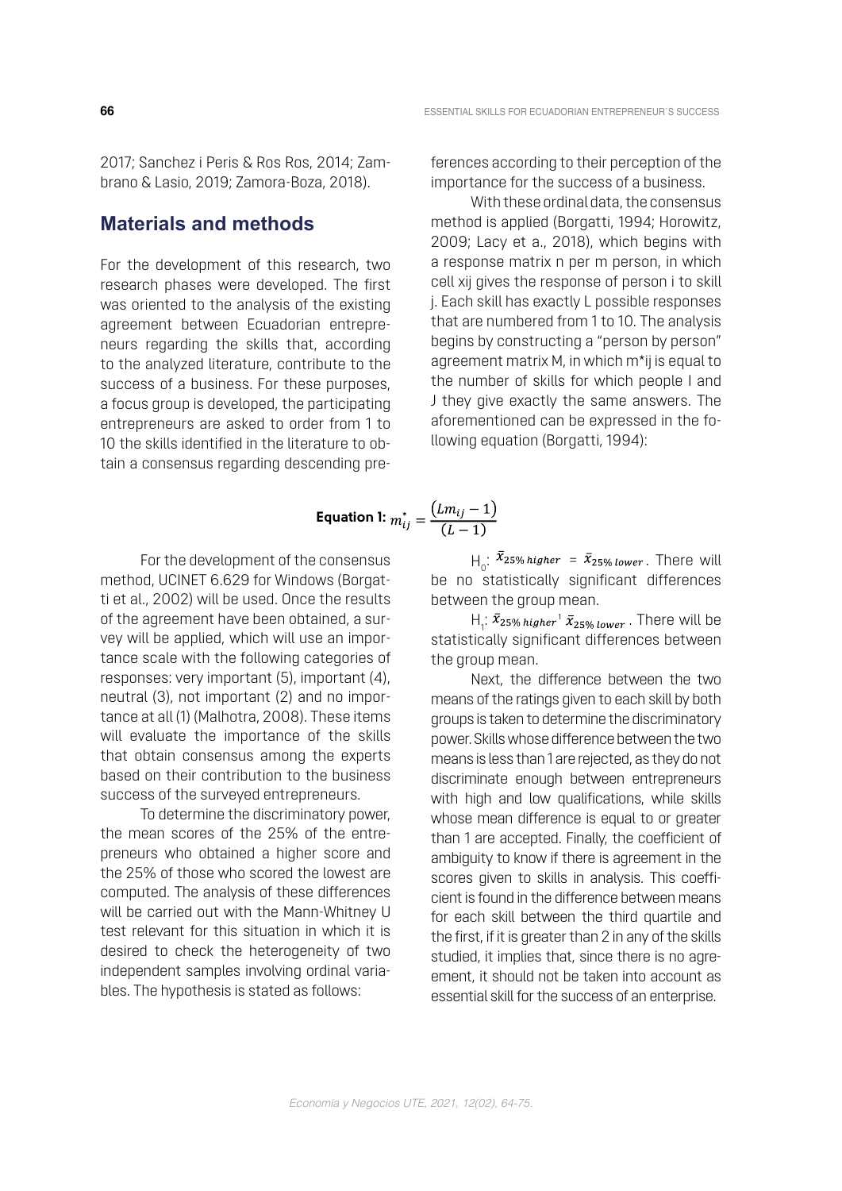2017; Sanchez i Peris & Ros Ros, 2014; Zambrano & Lasio, 2019; Zamora-Boza, 2018).

### **Materials and methods**

For the development of this research, two research phases were developed. The first was oriented to the analysis of the existing agreement between Ecuadorian entrepreneurs regarding the skills that, according to the analyzed literature, contribute to the success of a business. For these purposes, a focus group is developed, the participating entrepreneurs are asked to order from 1 to 10 the skills identified in the literature to obtain a consensus regarding descending preferences according to their perception of the importance for the success of a business.

With these ordinal data, the consensus method is applied (Borgatti, 1994; Horowitz, 2009; Lacy et a., 2018), which begins with a response matrix n per m person, in which cell xij gives the response of person i to skill j. Each skill has exactly L possible responses that are numbered from 1 to 10. The analysis begins by constructing a "person by person" agreement matrix M, in which m\*ij is equal to the number of skills for which people I and J they give exactly the same answers. The aforementioned can be expressed in the following equation (Borgatti, 1994):

$$
\text{Equation 1: } m_{ij}^* = \frac{(L m_{ij} - 1)}{(L - 1)}
$$

For the development of the consensus method, UCINET 6.629 for Windows (Borgatti et al., 2002) will be used. Once the results of the agreement have been obtained, a survey will be applied, which will use an importance scale with the following categories of responses: very important (5), important (4), neutral (3), not important (2) and no importance at all (1) (Malhotra, 2008). These items will evaluate the importance of the skills that obtain consensus among the experts based on their contribution to the business success of the surveyed entrepreneurs.

To determine the discriminatory power, the mean scores of the 25% of the entrepreneurs who obtained a higher score and the 25% of those who scored the lowest are computed. The analysis of these differences will be carried out with the Mann-Whitney U test relevant for this situation in which it is desired to check the heterogeneity of two independent samples involving ordinal variables. The hypothesis is stated as follows:

 $H_0$ :  $\bar{x}_{25\% \text{ higher}} = \bar{x}_{25\% \text{ lower}}$ . There will be no statistically significant differences between the group mean.

 $H_1$ :  $\bar{x}_{25\%~higher}$   $\bar{x}_{25\%~lower}$  . There will be statistically significant differences between the group mean.

Next, the difference between the two means of the ratings given to each skill by both groups is taken to determine the discriminatory power. Skills whose difference between the two means is less than 1 are rejected, as they do not discriminate enough between entrepreneurs with high and low qualifications, while skills whose mean difference is equal to or greater than 1 are accepted. Finally, the coefficient of ambiguity to know if there is agreement in the scores given to skills in analysis. This coefficient is found in the difference between means for each skill between the third quartile and the first, if it is greater than 2 in any of the skills studied, it implies that, since there is no agreement, it should not be taken into account as essential skill for the success of an enterprise.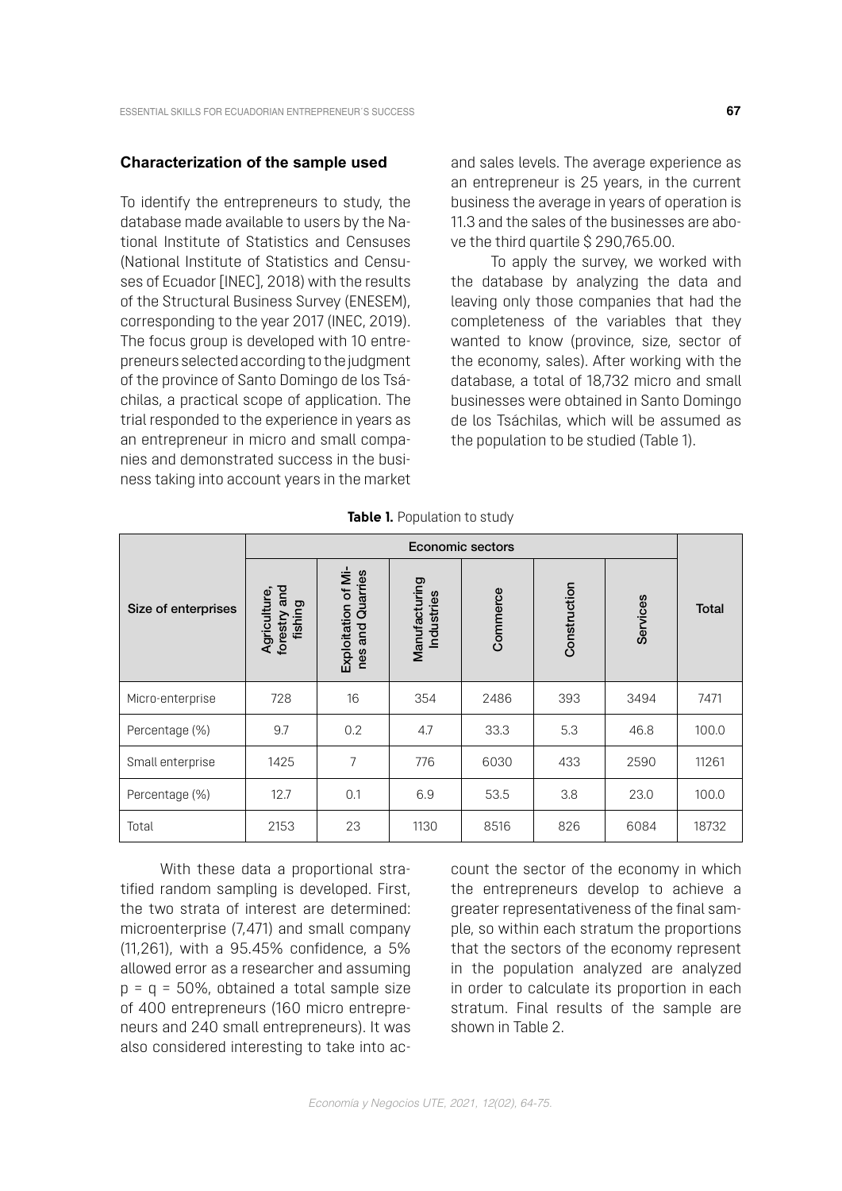#### **Characterization of the sample used**

To identify the entrepreneurs to study, the database made available to users by the National Institute of Statistics and Censuses (National Institute of Statistics and Censuses of Ecuador [INEC], 2018) with the results of the Structural Business Survey (ENESEM), corresponding to the year 2017 (INEC, 2019). The focus group is developed with 10 entrepreneurs selected according to the judgment of the province of Santo Domingo de los Tsáchilas, a practical scope of application. The trial responded to the experience in years as an entrepreneur in micro and small companies and demonstrated success in the business taking into account years in the market and sales levels. The average experience as an entrepreneur is 25 years, in the current business the average in years of operation is 11.3 and the sales of the businesses are above the third quartile \$ 290,765.00.

To apply the survey, we worked with the database by analyzing the data and leaving only those companies that had the completeness of the variables that they wanted to know (province, size, sector of the economy, sales). After working with the database, a total of 18,732 micro and small businesses were obtained in Santo Domingo de los Tsáchilas, which will be assumed as the population to be studied (Table 1).

|                     | Economic sectors                           |                                            |                             |          |              |          |       |
|---------------------|--------------------------------------------|--------------------------------------------|-----------------------------|----------|--------------|----------|-------|
| Size of enterprises | and<br>Agriculture,<br>fishing<br>forestry | Exploitation of Mi-<br>and Quarries<br>nes | Manufacturing<br>Industries | Commerce | Construction | Services | Total |
| Micro-enterprise    | 728                                        | 16                                         | 354                         | 2486     | 393          | 3494     | 7471  |
| Percentage (%)      | 9.7                                        | 0.2                                        | 4.7                         | 33.3     | 5.3          | 46.8     | 100.0 |
| Small enterprise    | 1425                                       | 7                                          | 776                         | 6030     | 433          | 2590     | 11261 |
| Percentage (%)      | 12.7                                       | 0.1                                        | 6.9                         | 53.5     | 3.8          | 23.0     | 100.0 |
| Total               | 2153                                       | 23                                         | 1130                        | 8516     | 826          | 6084     | 18732 |

**Table 1.** Population to study

With these data a proportional stratified random sampling is developed. First, the two strata of interest are determined: microenterprise (7,471) and small company (11,261), with a 95.45% confidence, a 5% allowed error as a researcher and assuming  $p = q = 50\%$ , obtained a total sample size of 400 entrepreneurs (160 micro entrepreneurs and 240 small entrepreneurs). It was also considered interesting to take into account the sector of the economy in which the entrepreneurs develop to achieve a greater representativeness of the final sample, so within each stratum the proportions that the sectors of the economy represent in the population analyzed are analyzed in order to calculate its proportion in each stratum. Final results of the sample are shown in Table 2.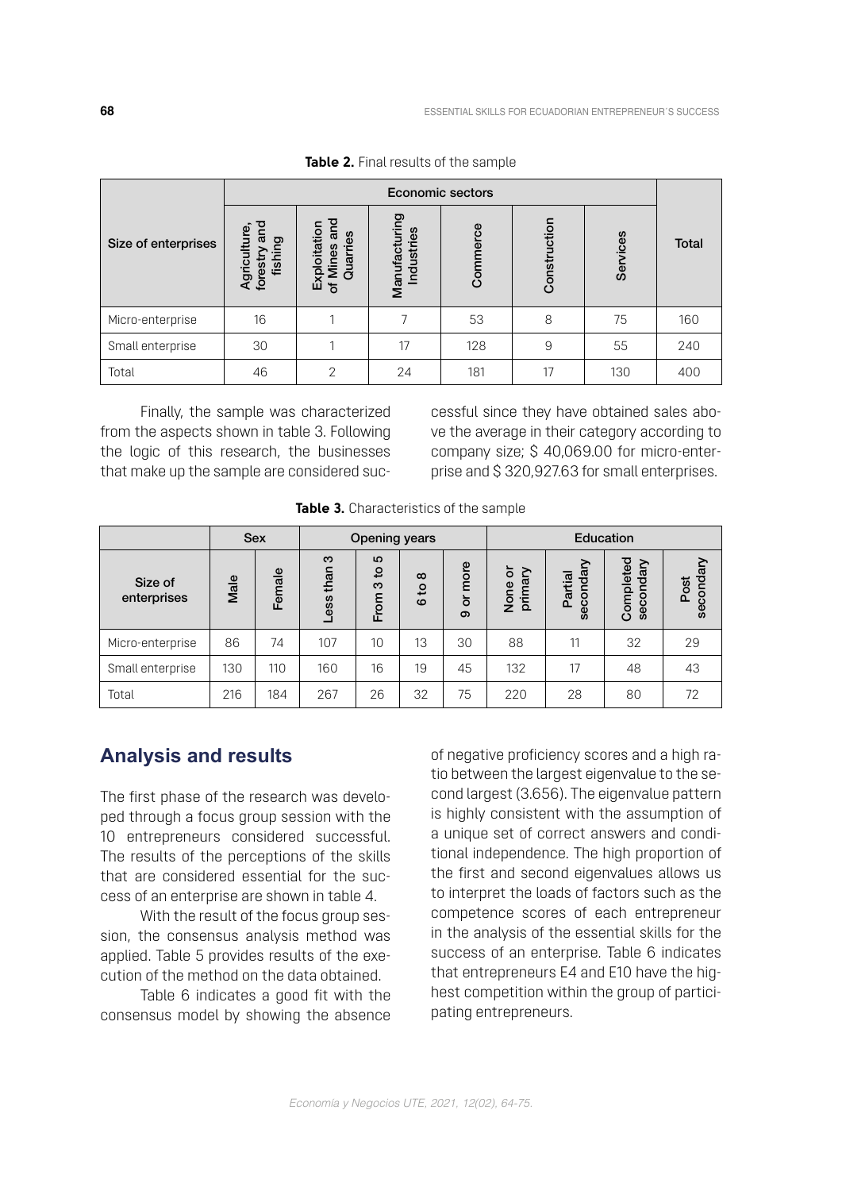|                     | Economic sectors                                      |                                                         |                             |          |              |          |       |
|---------------------|-------------------------------------------------------|---------------------------------------------------------|-----------------------------|----------|--------------|----------|-------|
| Size of enterprises | <u>ក្ខ</u><br>Agriculture<br>ರಾ<br>forestry<br>fishir | and<br>ploitation<br>Quarries<br><b>Mines</b><br>囚<br>৳ | Manufacturing<br>Industries | Commerce | Construction | Services | Total |
| Micro-enterprise    | 16                                                    |                                                         | ᄀ                           | 53       | 8            | 75       | 160   |
| Small enterprise    | 30                                                    |                                                         | 17                          | 128      | 9            | 55       | 240   |
| Total               | 46                                                    | $\mathcal{P}$                                           | 24                          | 181      | 17           | 130      | 400   |

**Table 2.** Final results of the sample

Finally, the sample was characterized from the aspects shown in table 3. Following the logic of this research, the businesses that make up the sample are considered suc-

cessful since they have obtained sales above the average in their category according to company size; \$ 40,069.00 for micro-enterprise and \$ 320,927.63 for small enterprises.

|                        |      | <b>Sex</b> | <b>Opening years</b> |                                  |                           | Education      |                      |                      |                        |                   |
|------------------------|------|------------|----------------------|----------------------------------|---------------------------|----------------|----------------------|----------------------|------------------------|-------------------|
| Size of<br>enterprises | Male | Female     | က<br>than<br>Less    | LO.<br>$\mathbf{S}$<br>က<br>From | $\infty$<br>٩,<br>$\circ$ | more<br>ŏ<br>ၜ | ৯<br>primary<br>None | secondary<br>Partial | Completed<br>secondary | secondary<br>Post |
| Micro-enterprise       | 86   | 74         | 107                  | 10 <sup>1</sup>                  | 13                        | 30             | 88                   | 11                   | 32                     | 29                |
| Small enterprise       | 130  | 110        | 160                  | 16                               | 19                        | 45             | 132                  | 17                   | 48                     | 43                |
| Total                  | 216  | 184        | 267                  | 26                               | 32                        | 75             | 220                  | 28                   | 80                     | 72                |

**Table 3.** Characteristics of the sample

### **Analysis and results**

The first phase of the research was developed through a focus group session with the 10 entrepreneurs considered successful. The results of the perceptions of the skills that are considered essential for the success of an enterprise are shown in table 4.

With the result of the focus group session, the consensus analysis method was applied. Table 5 provides results of the execution of the method on the data obtained.

Table 6 indicates a good fit with the consensus model by showing the absence

of negative proficiency scores and a high ratio between the largest eigenvalue to the second largest (3.656). The eigenvalue pattern is highly consistent with the assumption of a unique set of correct answers and conditional independence. The high proportion of the first and second eigenvalues allows us to interpret the loads of factors such as the competence scores of each entrepreneur in the analysis of the essential skills for the success of an enterprise. Table 6 indicates that entrepreneurs E4 and E10 have the highest competition within the group of participating entrepreneurs.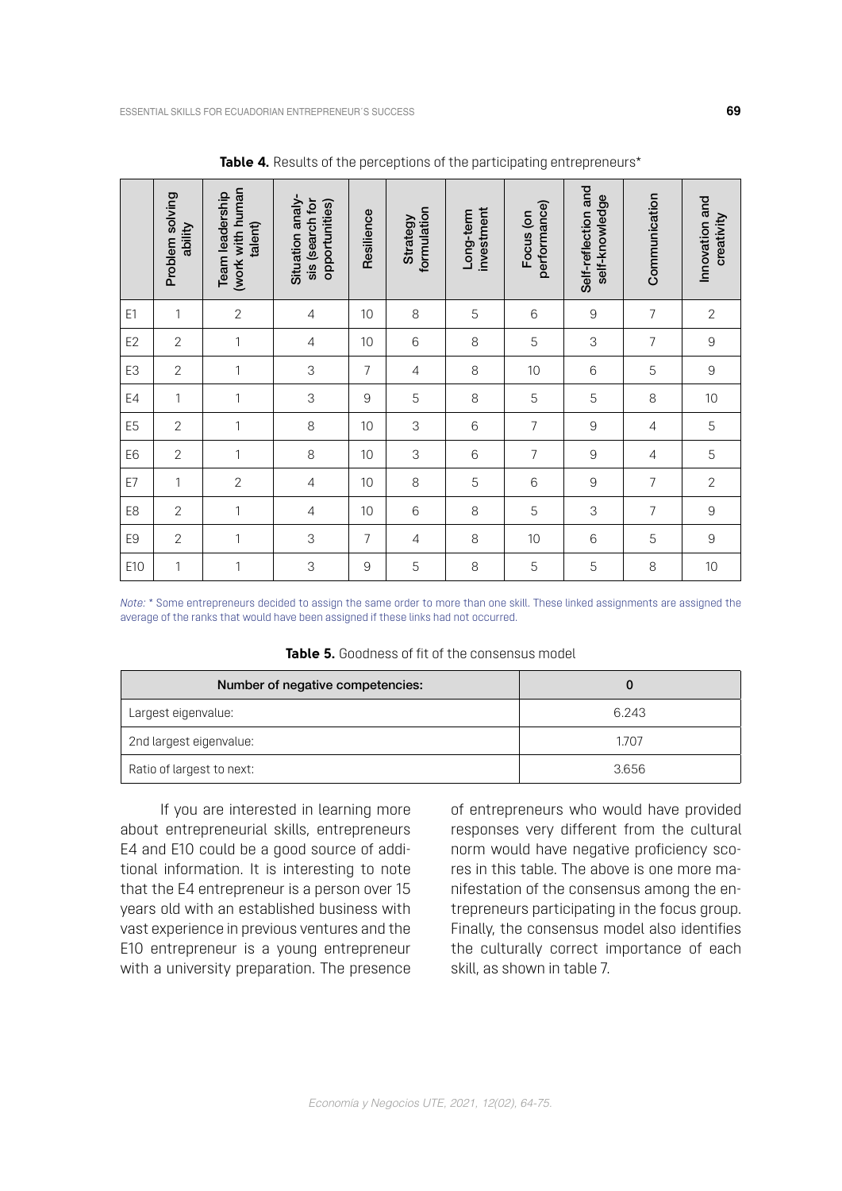|                | Problem solving<br>ability | (work with human<br>Team leadership<br>talent) | Situation analy-<br>sis (search for<br>opportunities) | Resilience     | formulation<br>Strategy | investment<br>Long-term | performance)<br>Focus (on | Self-reflection and<br>self-knowledge | Communication  | Innovation and<br>creativity |
|----------------|----------------------------|------------------------------------------------|-------------------------------------------------------|----------------|-------------------------|-------------------------|---------------------------|---------------------------------------|----------------|------------------------------|
| E1             | 1                          | $\sqrt{2}$                                     | $\overline{4}$                                        | 10             | 8                       | 5                       | 6                         | $\mathsf{9}$                          | 7              | $\overline{2}$               |
| E <sub>2</sub> | $\overline{2}$             | 1                                              | 4                                                     | 10             | 6                       | 8                       | 5                         | 3                                     | 7              | 9                            |
| E3             | $\mathbf{2}$               | 1                                              | 3                                                     | $\overline{7}$ | 4                       | 8                       | 10                        | 6                                     | 5              | 9                            |
| E4             | 1                          | 1                                              | 3                                                     | 9              | 5                       | 8                       | 5                         | 5                                     | 8              | 10                           |
| E <sub>5</sub> | $\mathbf{2}$               | 1                                              | 8                                                     | 10             | 3                       | 6                       | 7                         | $\mathsf{9}$                          | $\sqrt{4}$     | 5                            |
| E <sub>6</sub> | $\overline{2}$             | 1                                              | 8                                                     | 10             | 3                       | 6                       | 7                         | $\mathsf{9}$                          | $\overline{4}$ | 5                            |
| E7             | 1                          | $\overline{2}$                                 | $\overline{4}$                                        | 10             | 8                       | 5                       | 6                         | $9\,$                                 | $\overline{7}$ | $\overline{2}$               |
| E8             | $\overline{2}$             | 1                                              | 4                                                     | 10             | 6                       | 8                       | 5                         | 3                                     | 7              | 9                            |
| E <sub>9</sub> | $\overline{2}$             | 1                                              | 3                                                     | $\overline{7}$ | 4                       | 8                       | 10                        | 6                                     | 5              | 9                            |
| E10            | 1                          | 1                                              | 3                                                     | 9              | 5                       | 8                       | 5                         | 5                                     | 8              | 10                           |

**Table 4.** Results of the perceptions of the participating entrepreneurs<sup>\*</sup>

*Note:* \* Some entrepreneurs decided to assign the same order to more than one skill. These linked assignments are assigned the average of the ranks that would have been assigned if these links had not occurred.

|  |  |  |  | <b>Table 5.</b> Goodness of fit of the consensus model |
|--|--|--|--|--------------------------------------------------------|
|--|--|--|--|--------------------------------------------------------|

| Number of negative competencies: |       |
|----------------------------------|-------|
| Largest eigenvalue:              | 6.243 |
| 2nd largest eigenvalue:          | 1.707 |
| Ratio of largest to next:        | 3.656 |

If you are interested in learning more about entrepreneurial skills, entrepreneurs E4 and E10 could be a good source of additional information. It is interesting to note that the E4 entrepreneur is a person over 15 years old with an established business with vast experience in previous ventures and the E10 entrepreneur is a young entrepreneur with a university preparation. The presence of entrepreneurs who would have provided responses very different from the cultural norm would have negative proficiency scores in this table. The above is one more manifestation of the consensus among the entrepreneurs participating in the focus group. Finally, the consensus model also identifies the culturally correct importance of each skill, as shown in table 7.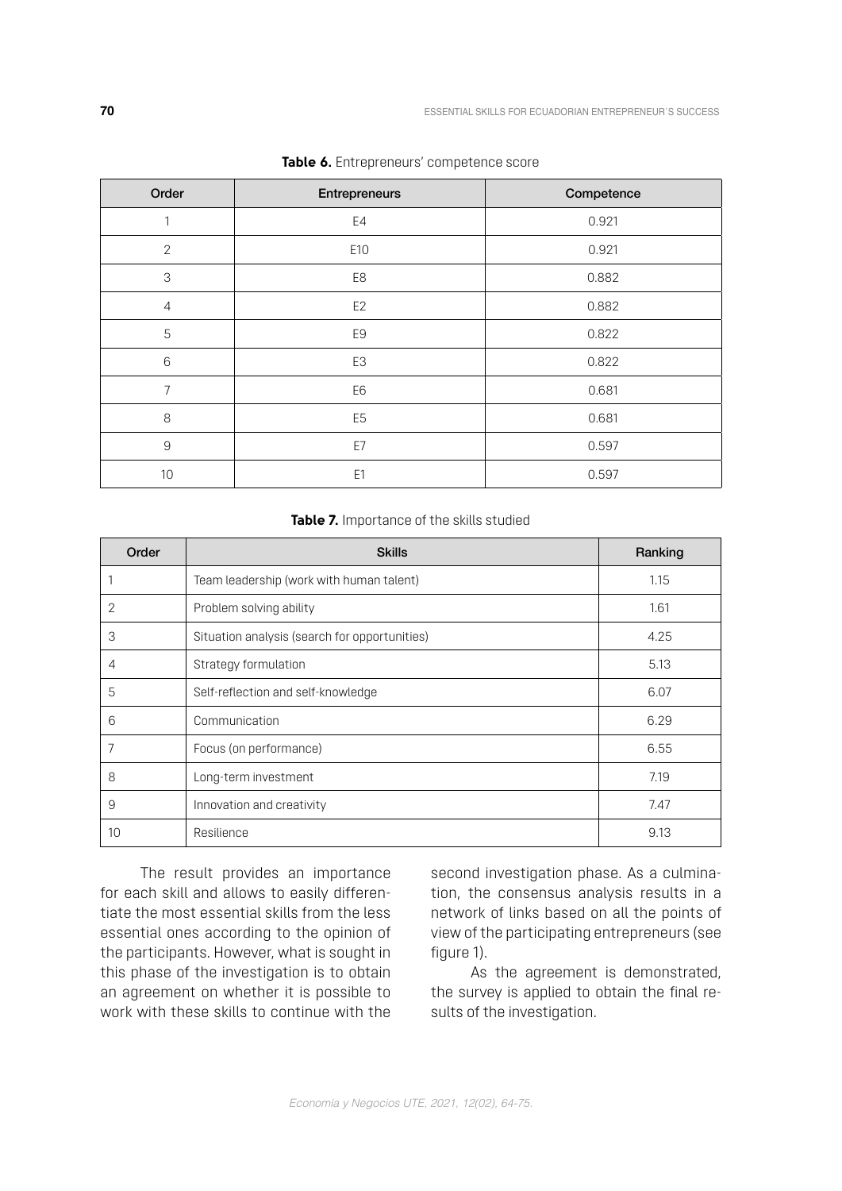| Order          | Entrepreneurs  | Competence |
|----------------|----------------|------------|
| 1              | E4             | 0.921      |
| $\mathbf{2}$   | E10            | 0.921      |
| $\sqrt{3}$     | E8             | 0.882      |
| $\overline{4}$ | E <sub>2</sub> | 0.882      |
| 5              | E9             | 0.822      |
| $6\,$          | E3             | 0.822      |
| 7              | E6             | 0.681      |
| $\,8\,$        | E <sub>5</sub> | 0.681      |
| $\mathsf 9$    | E7             | 0.597      |
| 10             | E <sub>1</sub> | 0.597      |

|  | Table 6. Entrepreneurs' competence score |
|--|------------------------------------------|
|  |                                          |

#### **Table 7.** Importance of the skills studied

| Order | <b>Skills</b>                                 | Ranking |
|-------|-----------------------------------------------|---------|
|       | Team leadership (work with human talent)      | 1.15    |
| 2     | Problem solving ability                       | 1.61    |
| 3     | Situation analysis (search for opportunities) | 4.25    |
| 4     | Strategy formulation                          | 5.13    |
| 5     | Self-reflection and self-knowledge            | 6.07    |
| 6     | Communication                                 | 6.29    |
| 7     | Focus (on performance)                        | 6.55    |
| 8     | Long-term investment                          | 7.19    |
| 9     | Innovation and creativity                     | 7.47    |
| 10    | Resilience                                    | 9.13    |

The result provides an importance for each skill and allows to easily differentiate the most essential skills from the less essential ones according to the opinion of the participants. However, what is sought in this phase of the investigation is to obtain an agreement on whether it is possible to work with these skills to continue with the second investigation phase. As a culmination, the consensus analysis results in a network of links based on all the points of view of the participating entrepreneurs (see figure 1).

As the agreement is demonstrated, the survey is applied to obtain the final results of the investigation.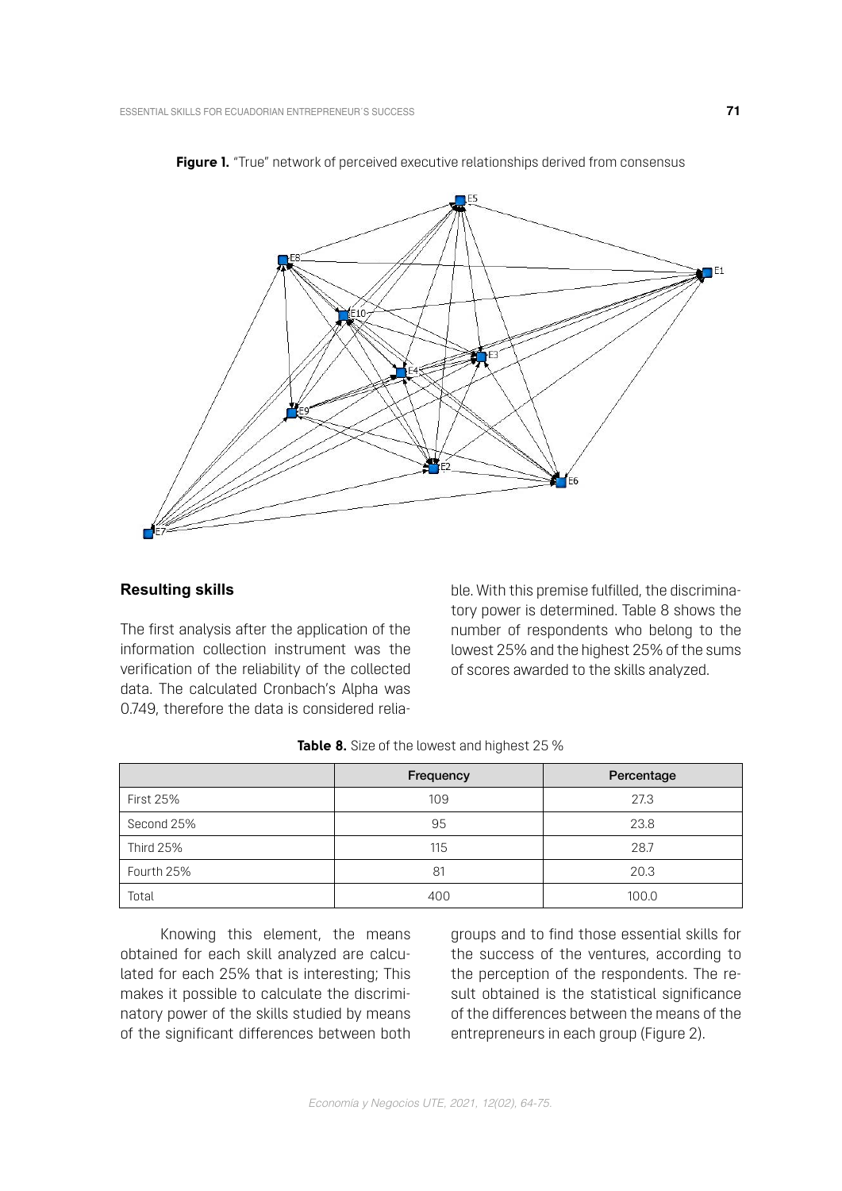



### **Resulting skills**

The first analysis after the application of the information collection instrument was the verification of the reliability of the collected data. The calculated Cronbach's Alpha was 0.749, therefore the data is considered reliable. With this premise fulfilled, the discriminatory power is determined. Table 8 shows the number of respondents who belong to the lowest 25% and the highest 25% of the sums of scores awarded to the skills analyzed.

|                  | Frequency | Percentage |
|------------------|-----------|------------|
| <b>First 25%</b> | 109       | 27.3       |
| Second 25%       | 95        | 23.8       |
| <b>Third 25%</b> | 115       | 28.7       |
| Fourth 25%       | 81        | 20.3       |
| Total            | 400       | 100.0      |

| <b>Table 8.</b> Size of the lowest and highest 25 % |  |
|-----------------------------------------------------|--|
|-----------------------------------------------------|--|

Knowing this element, the means obtained for each skill analyzed are calculated for each 25% that is interesting; This makes it possible to calculate the discriminatory power of the skills studied by means of the significant differences between both groups and to find those essential skills for the success of the ventures, according to the perception of the respondents. The result obtained is the statistical significance of the differences between the means of the entrepreneurs in each group (Figure 2).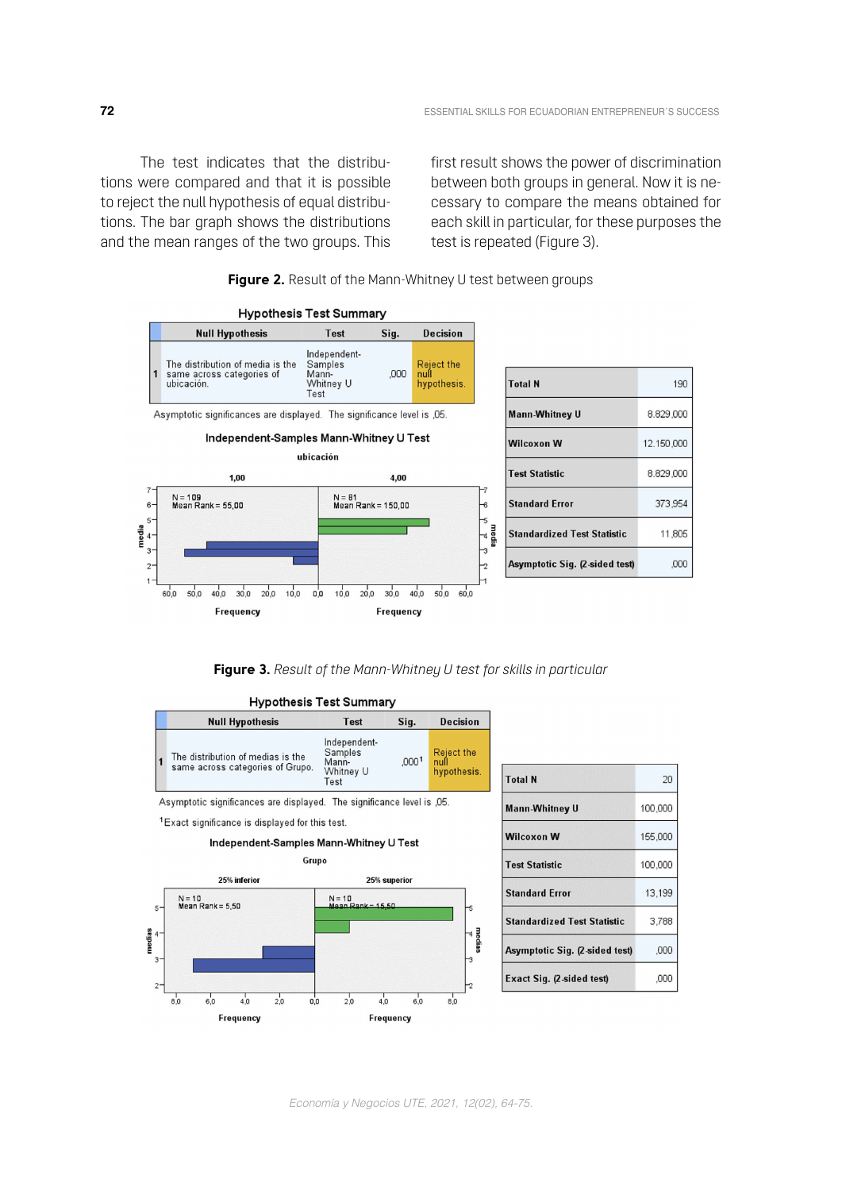The test indicates that the distributions were compared and that it is possible to reject the null hypothesis of equal distributions. The bar graph shows the distributions and the mean ranges of the two groups. This first result shows the power of discrimination between both groups in general. Now it is necessary to compare the means obtained for each skill in particular, for these purposes the test is repeated (Figure 3).

 $190$ 

373,954

11805

,000



**Figure 2.** Result of the Mann-Whitney U test between groups

**Figure 3.** *Result of the Mann-Whitney U test for skills in particular*

| <b>Null Hypothesis</b>                                                | <b>Test</b>                                           | Sig.              | <b>Decision</b>                   |
|-----------------------------------------------------------------------|-------------------------------------------------------|-------------------|-----------------------------------|
| The distribution of medias is the<br>same across categories of Grupo. | Independent-<br>Samples<br>Mann-<br>Whitney U<br>Test | .000 <sup>1</sup> | Reject the<br>null<br>hypothesis. |

### Hynothesis Test Summary

<sup>1</sup> Exact significance is displayed for this test.

#### Independent-Samples Mann-Whitney U Test



| <b>Total N</b>                     | 20      |
|------------------------------------|---------|
| <b>Mann-Whitney U</b>              | 100,000 |
| <b>Wilcoxon W</b>                  | 155,000 |
| <b>Test Statistic</b>              | 100,000 |
| <b>Standard Error</b>              | 13,199  |
| <b>Standardized Test Statistic</b> | 3.788   |
| Asymptotic Sig. (2-sided test)     | ,000    |
| Exact Sig. (2-sided test)          | .000    |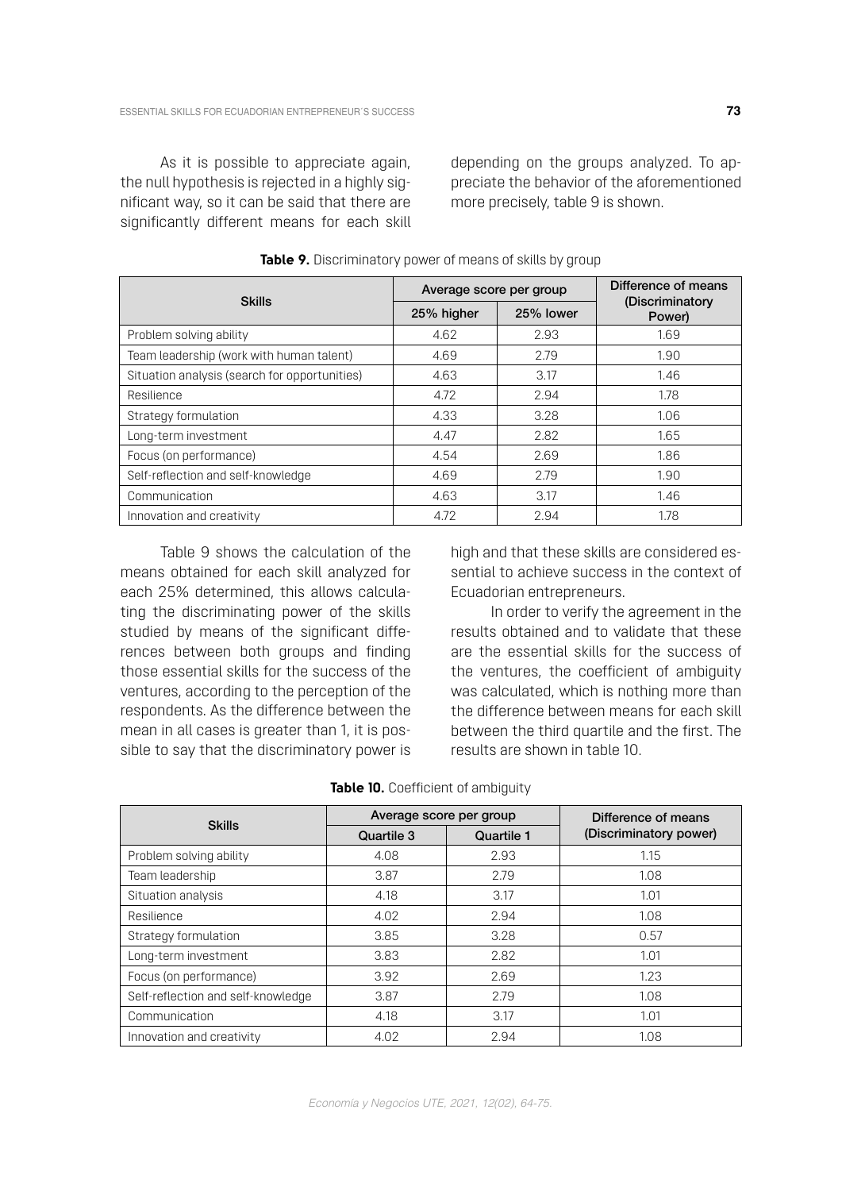As it is possible to appreciate again, the null hypothesis is rejected in a highly significant way, so it can be said that there are significantly different means for each skill

depending on the groups analyzed. To appreciate the behavior of the aforementioned more precisely, table 9 is shown.

| <b>Skills</b>                                 | Average score per group |           | Difference of means       |  |
|-----------------------------------------------|-------------------------|-----------|---------------------------|--|
|                                               | 25% higher              | 25% lower | (Discriminatory<br>Power) |  |
| Problem solving ability                       | 4.62                    | 2.93      | 1.69                      |  |
| Team leadership (work with human talent)      | 4.69                    | 2.79      | 1.90                      |  |
| Situation analysis (search for opportunities) | 4.63                    | 3.17      | 1.46                      |  |
| Resilience                                    | 4.72                    | 2.94      | 1.78                      |  |
| Strategy formulation                          | 4.33                    | 3.28      | 1.06                      |  |
| Long-term investment                          | 4.47                    | 2.82      | 1.65                      |  |
| Focus (on performance)                        | 4.54                    | 2.69      | 1.86                      |  |
| Self-reflection and self-knowledge            | 4.69                    | 2.79      | 1.90                      |  |
| Communication                                 | 4.63                    | 3.17      | 1.46                      |  |
| Innovation and creativity                     | 4.72                    | 2.94      | 1.78                      |  |

**Table 9.** Discriminatory power of means of skills by group

Table 9 shows the calculation of the means obtained for each skill analyzed for each 25% determined, this allows calculating the discriminating power of the skills studied by means of the significant differences between both groups and finding those essential skills for the success of the ventures, according to the perception of the respondents. As the difference between the mean in all cases is greater than 1, it is possible to say that the discriminatory power is

high and that these skills are considered essential to achieve success in the context of Ecuadorian entrepreneurs.

In order to verify the agreement in the results obtained and to validate that these are the essential skills for the success of the ventures, the coefficient of ambiguity was calculated, which is nothing more than the difference between means for each skill between the third quartile and the first. The results are shown in table 10.

|                                    | Average score per group |            | Difference of means    |  |
|------------------------------------|-------------------------|------------|------------------------|--|
| <b>Skills</b>                      | Quartile 3              | Quartile 1 | (Discriminatory power) |  |
| Problem solving ability            | 4.08                    | 2.93       | 1.15                   |  |
| Team leadership                    | 3.87                    | 2.79       | 1.08                   |  |
| Situation analysis                 | 4.18                    | 3.17       | 1.01                   |  |
| Resilience                         | 4.02                    | 2.94       | 1.08                   |  |
| Strategy formulation               | 3.85                    | 3.28       | 0.57                   |  |
| Long-term investment               | 3.83                    | 2.82       | 1.01                   |  |
| Focus (on performance)             | 3.92                    | 2.69       | 1.23                   |  |
| Self-reflection and self-knowledge | 3.87                    | 2.79       | 1.08                   |  |
| Communication                      | 4.18                    | 3.17       | 1.01                   |  |
| Innovation and creativity          | 4.02                    | 2.94       | 1.08                   |  |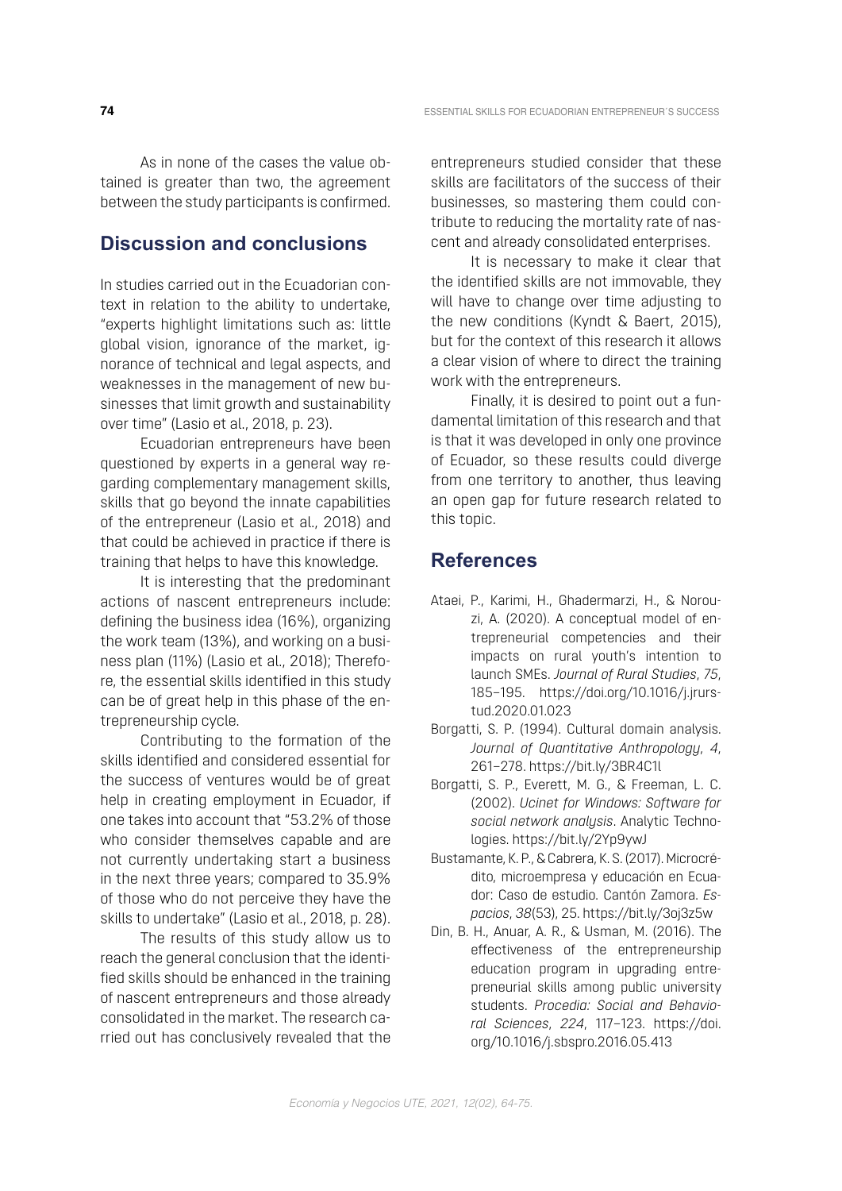As in none of the cases the value obtained is greater than two, the agreement between the study participants is confirmed.

### **Discussion and conclusions**

In studies carried out in the Ecuadorian context in relation to the ability to undertake, "experts highlight limitations such as: little global vision, ignorance of the market, ignorance of technical and legal aspects, and weaknesses in the management of new businesses that limit growth and sustainability over time" (Lasio et al., 2018, p. 23).

Ecuadorian entrepreneurs have been questioned by experts in a general way regarding complementary management skills, skills that go beyond the innate capabilities of the entrepreneur (Lasio et al., 2018) and that could be achieved in practice if there is training that helps to have this knowledge.

It is interesting that the predominant actions of nascent entrepreneurs include: defining the business idea (16%), organizing the work team (13%), and working on a business plan (11%) (Lasio et al., 2018); Therefore, the essential skills identified in this study can be of great help in this phase of the entrepreneurship cycle.

Contributing to the formation of the skills identified and considered essential for the success of ventures would be of great help in creating employment in Ecuador, if one takes into account that "53.2% of those who consider themselves capable and are not currently undertaking start a business in the next three years; compared to 35.9% of those who do not perceive they have the skills to undertake" (Lasio et al., 2018, p. 28).

The results of this study allow us to reach the general conclusion that the identified skills should be enhanced in the training of nascent entrepreneurs and those already consolidated in the market. The research carried out has conclusively revealed that the

entrepreneurs studied consider that these skills are facilitators of the success of their businesses, so mastering them could contribute to reducing the mortality rate of nascent and already consolidated enterprises.

It is necessary to make it clear that the identified skills are not immovable, they will have to change over time adjusting to the new conditions (Kyndt & Baert, 2015), but for the context of this research it allows a clear vision of where to direct the training work with the entrepreneurs.

Finally, it is desired to point out a fundamental limitation of this research and that is that it was developed in only one province of Ecuador, so these results could diverge from one territory to another, thus leaving an open gap for future research related to this topic.

### **References**

- Ataei, P., Karimi, H., Ghadermarzi, H., & Norouzi, A. (2020). A conceptual model of entrepreneurial competencies and their impacts on rural youth's intention to launch SMEs. *Journal of Rural Studies*, *75*, 185–195. [https://doi.org/10.1016/j.jrurs](https://doi.org/10.1016/j.jrurstud.2020.01.023)[tud.2020.01.023](https://doi.org/10.1016/j.jrurstud.2020.01.023)
- Borgatti, S. P. (1994). Cultural domain analysis. *Journal of Quantitative Anthropology*, *4*, 261–278.<https://bit.ly/3BR4C1l>
- Borgatti, S. P., Everett, M. G., & Freeman, L. C. (2002). *Ucinet for Windows: Software for social network analysis*. Analytic Technologies.<https://bit.ly/2Yp9ywJ>
- Bustamante, K. P., & Cabrera, K. S. (2017). Microcrédito, microempresa y educación en Ecuador: Caso de estudio. Cantón Zamora. *Espacios*, *38*(53), 25.<https://bit.ly/3oj3z5w>
- Din, B. H., Anuar, A. R., & Usman, M. (2016). The effectiveness of the entrepreneurship education program in upgrading entrepreneurial skills among public university students. *Procedia: Social and Behavioral Sciences*, *224*, 117–123. [https://doi.](https://doi.org/10.1016/j.sbspro.2016.05.413) [org/10.1016/j.sbspro.2016.05.413](https://doi.org/10.1016/j.sbspro.2016.05.413)